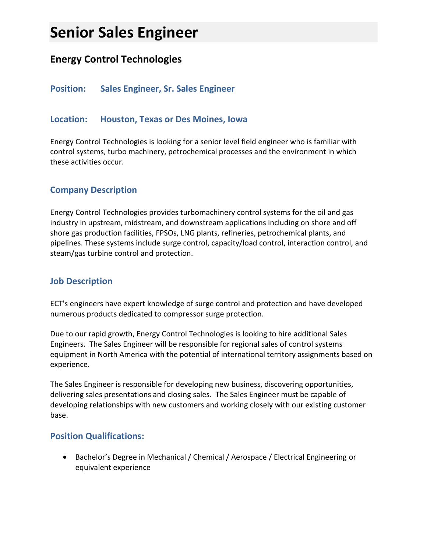# **Senior Sales Engineer**

# **Energy Control Technologies**

#### **Position: Sales Engineer, Sr. Sales Engineer**

#### **Location: Houston, Texas or Des Moines, Iowa**

Energy Control Technologies is looking for a senior level field engineer who is familiar with control systems, turbo machinery, petrochemical processes and the environment in which these activities occur.

# **Company Description**

Energy Control Technologies provides turbomachinery control systems for the oil and gas industry in upstream, midstream, and downstream applications including on shore and off shore gas production facilities, FPSOs, LNG plants, refineries, petrochemical plants, and pipelines. These systems include surge control, capacity/load control, interaction control, and steam/gas turbine control and protection.

### **Job Description**

ECT's engineers have expert knowledge of surge control and protection and have developed numerous products dedicated to compressor surge protection.

Due to our rapid growth, Energy Control Technologies is looking to hire additional Sales Engineers. The Sales Engineer will be responsible for regional sales of control systems equipment in North America with the potential of international territory assignments based on experience.

The Sales Engineer is responsible for developing new business, discovering opportunities, delivering sales presentations and closing sales. The Sales Engineer must be capable of developing relationships with new customers and working closely with our existing customer base.

#### **Position Qualifications:**

 Bachelor's Degree in Mechanical / Chemical / Aerospace / Electrical Engineering or equivalent experience